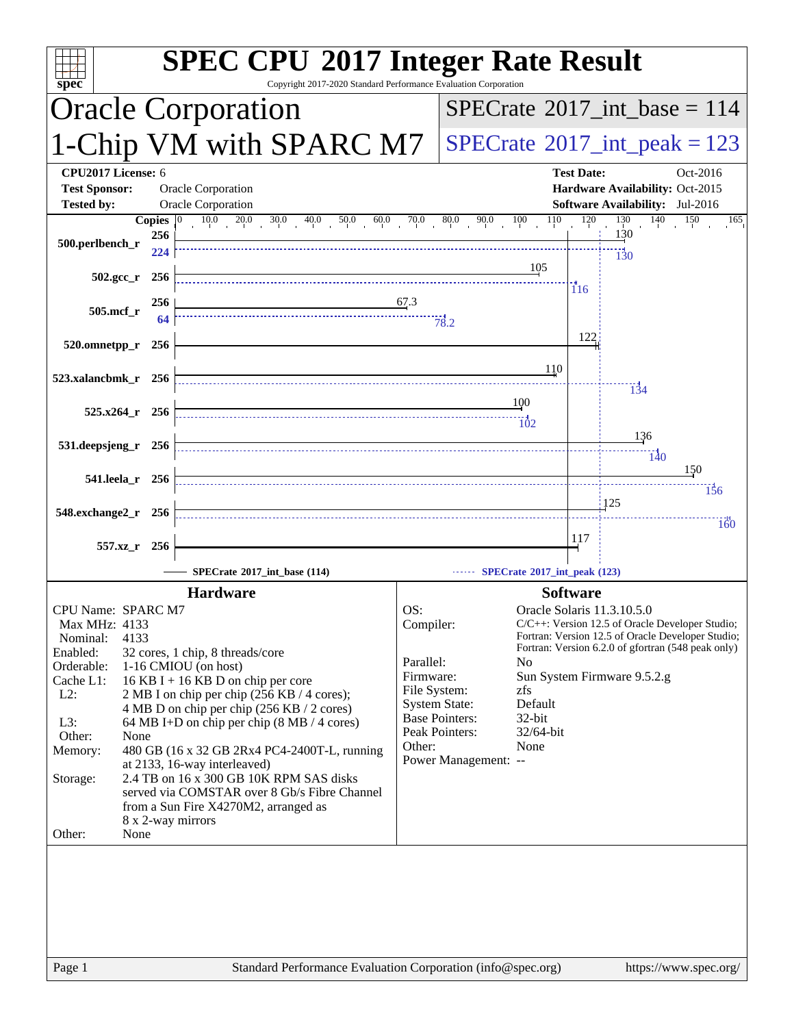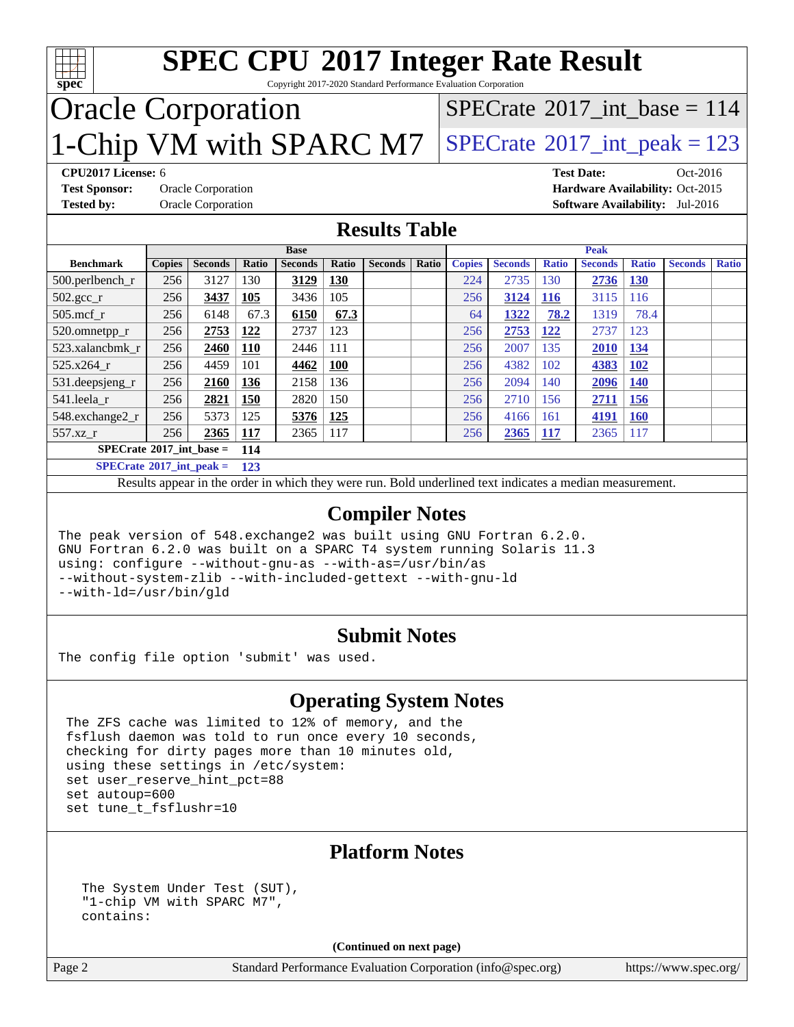

### **[Operating System Notes](http://www.spec.org/auto/cpu2017/Docs/result-fields.html#OperatingSystemNotes)**

 The ZFS cache was limited to 12% of memory, and the fsflush daemon was told to run once every 10 seconds, checking for dirty pages more than 10 minutes old, using these settings in /etc/system: set user reserve hint pct=88 set autoup=600 set tune\_t\_fsflushr=10

### **[Platform Notes](http://www.spec.org/auto/cpu2017/Docs/result-fields.html#PlatformNotes)**

 The System Under Test (SUT), "1-chip VM with SPARC M7", contains:

**(Continued on next page)**

Page 2 Standard Performance Evaluation Corporation [\(info@spec.org\)](mailto:info@spec.org) <https://www.spec.org/>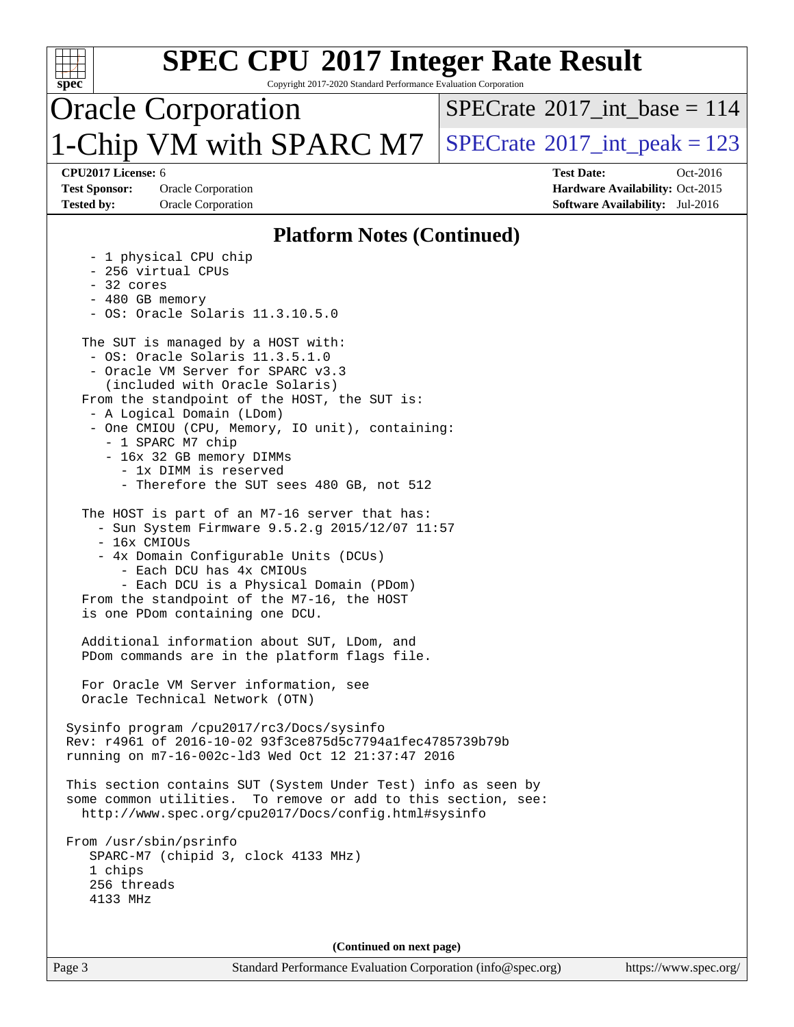| <b>SPEC CPU®2017 Integer Rate Result</b><br>Copyright 2017-2020 Standard Performance Evaluation Corporation<br>spec <sup>®</sup>                                                                                                                                                                                                                                                                   |                                                                                                            |
|----------------------------------------------------------------------------------------------------------------------------------------------------------------------------------------------------------------------------------------------------------------------------------------------------------------------------------------------------------------------------------------------------|------------------------------------------------------------------------------------------------------------|
| <b>Oracle Corporation</b>                                                                                                                                                                                                                                                                                                                                                                          | $SPECrate^{\circ}2017\_int\_base = 114$                                                                    |
| 1-Chip VM with SPARC M7                                                                                                                                                                                                                                                                                                                                                                            | $SPECrate@2017(int peak = 123$                                                                             |
| CPU2017 License: 6<br><b>Test Sponsor:</b><br>Oracle Corporation<br><b>Tested by:</b><br><b>Oracle Corporation</b>                                                                                                                                                                                                                                                                                 | <b>Test Date:</b><br>Oct-2016<br>Hardware Availability: Oct-2015<br><b>Software Availability:</b> Jul-2016 |
| <b>Platform Notes (Continued)</b>                                                                                                                                                                                                                                                                                                                                                                  |                                                                                                            |
| - 1 physical CPU chip<br>- 256 virtual CPUs<br>32 cores<br>- 480 GB memory<br>- OS: Oracle Solaris 11.3.10.5.0                                                                                                                                                                                                                                                                                     |                                                                                                            |
| The SUT is managed by a HOST with:<br>- OS: Oracle Solaris 11.3.5.1.0<br>- Oracle VM Server for SPARC v3.3<br>(included with Oracle Solaris)<br>From the standpoint of the HOST, the SUT is:<br>- A Logical Domain (LDom)<br>- One CMIOU (CPU, Memory, IO unit), containing:<br>- 1 SPARC M7 chip<br>- 16x 32 GB memory DIMMs<br>- 1x DIMM is reserved<br>- Therefore the SUT sees 480 GB, not 512 |                                                                                                            |
| The HOST is part of an M7-16 server that has:<br>- Sun System Firmware 9.5.2.g 2015/12/07 11:57<br>- 16x CMIOUs<br>- 4x Domain Configurable Units (DCUs)<br>- Each DCU has 4x CMIOUs<br>- Each DCU is a Physical Domain (PDom)<br>From the standpoint of the M7-16, the HOST<br>is one PDom containing one DCU.                                                                                    |                                                                                                            |
| Additional information about SUT, LDom, and<br>PDom commands are in the platform flags file.                                                                                                                                                                                                                                                                                                       |                                                                                                            |
| For Oracle VM Server information, see<br>Oracle Technical Network (OTN)                                                                                                                                                                                                                                                                                                                            |                                                                                                            |
| Sysinfo program /cpu2017/rc3/Docs/sysinfo<br>Rev: r4961 of 2016-10-02 93f3ce875d5c7794a1fec4785739b79b<br>running on m7-16-002c-1d3 Wed Oct 12 21:37:47 2016                                                                                                                                                                                                                                       |                                                                                                            |
| This section contains SUT (System Under Test) info as seen by<br>some common utilities. To remove or add to this section, see:<br>http://www.spec.org/cpu2017/Docs/config.html#sysinfo                                                                                                                                                                                                             |                                                                                                            |
| From /usr/sbin/psrinfo<br>SPARC-M7 (chipid 3, clock 4133 MHz)<br>1 chips<br>256 threads<br>4133 MHz                                                                                                                                                                                                                                                                                                |                                                                                                            |
| (Continued on next page)                                                                                                                                                                                                                                                                                                                                                                           |                                                                                                            |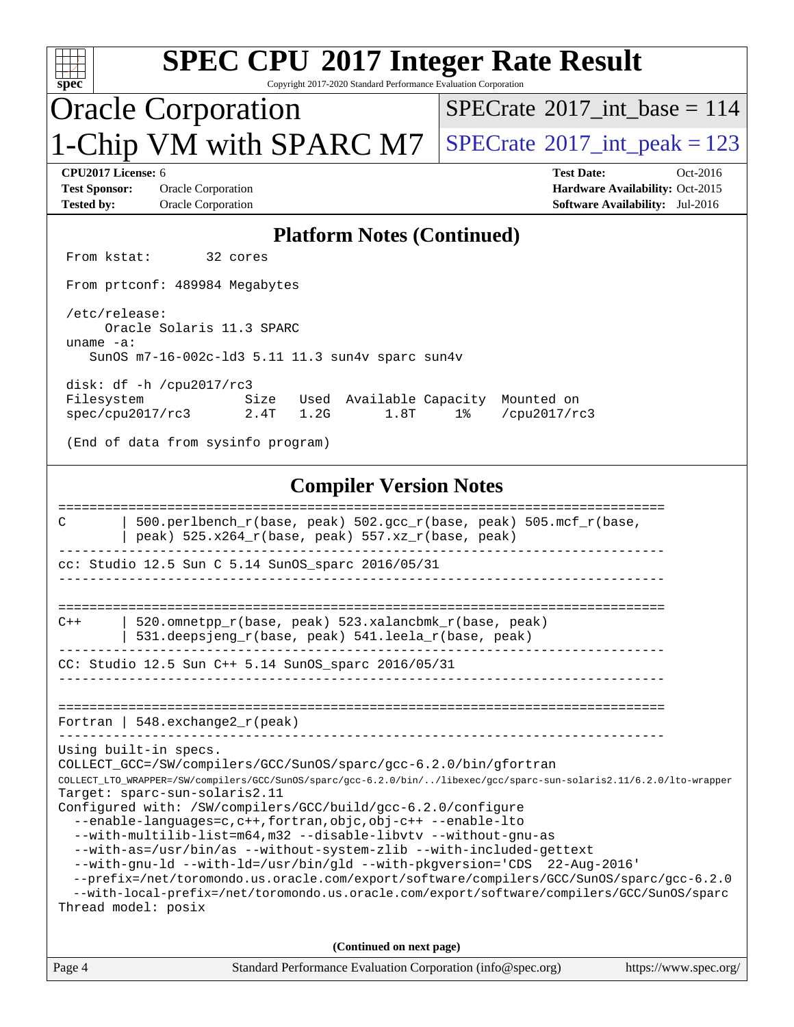| <b>SPEC CPU®2017 Integer Rate Result</b>                                                                                                                                                 |                                                                                                     |  |  |  |  |  |
|------------------------------------------------------------------------------------------------------------------------------------------------------------------------------------------|-----------------------------------------------------------------------------------------------------|--|--|--|--|--|
| spec <sup>®</sup><br>Copyright 2017-2020 Standard Performance Evaluation Corporation                                                                                                     |                                                                                                     |  |  |  |  |  |
| <b>Oracle Corporation</b>                                                                                                                                                                | $SPECrate^{\circledast}2017$ int base = 114                                                         |  |  |  |  |  |
| 1-Chip VM with SPARC M7                                                                                                                                                                  | $SPECrate@2017(int peak = 123$                                                                      |  |  |  |  |  |
| <b>CPU2017 License: 6</b><br><b>Test Sponsor:</b><br><b>Oracle Corporation</b><br><b>Tested by:</b><br>Oracle Corporation                                                                | <b>Test Date:</b><br>Oct-2016<br>Hardware Availability: Oct-2015<br>Software Availability: Jul-2016 |  |  |  |  |  |
| <b>Platform Notes (Continued)</b>                                                                                                                                                        |                                                                                                     |  |  |  |  |  |
| From kstat:<br>32 cores                                                                                                                                                                  |                                                                                                     |  |  |  |  |  |
| From prtconf: 489984 Megabytes                                                                                                                                                           |                                                                                                     |  |  |  |  |  |
| /etc/release:                                                                                                                                                                            |                                                                                                     |  |  |  |  |  |
| Oracle Solaris 11.3 SPARC<br>uname $-a$ :<br>SunOS m7-16-002c-1d3 5.11 11.3 sun4v sparc sun4v                                                                                            |                                                                                                     |  |  |  |  |  |
| disk: df -h /cpu2017/rc3                                                                                                                                                                 |                                                                                                     |  |  |  |  |  |
| Size Used Available Capacity Mounted on<br>Filesystem<br>$2.4T$ $1.2G$<br>spec/cpu2017/rc3<br>1.8T<br>1% / cpu2017/rc3                                                                   |                                                                                                     |  |  |  |  |  |
| (End of data from sysinfo program)                                                                                                                                                       |                                                                                                     |  |  |  |  |  |
| <b>Compiler Version Notes</b>                                                                                                                                                            |                                                                                                     |  |  |  |  |  |
| 500.perlbench_r(base, peak) 502.gcc_r(base, peak) 505.mcf_r(base,<br>C                                                                                                                   |                                                                                                     |  |  |  |  |  |
| peak) 525.x264_r(base, peak) 557.xz_r(base, peak)                                                                                                                                        |                                                                                                     |  |  |  |  |  |
| cc: Studio 12.5 Sun C 5.14 SunOS_sparc 2016/05/31                                                                                                                                        |                                                                                                     |  |  |  |  |  |
|                                                                                                                                                                                          |                                                                                                     |  |  |  |  |  |
| 520.omnetpp_r(base, peak) 523.xalancbmk_r(base, peak)<br>C++<br>531.deepsjeng_r(base, peak) 541.leela_r(base, peak)                                                                      |                                                                                                     |  |  |  |  |  |
| CC: Studio 12.5 Sun C++ $5.14$ SunOS_sparc $2016/05/31$                                                                                                                                  |                                                                                                     |  |  |  |  |  |
|                                                                                                                                                                                          |                                                                                                     |  |  |  |  |  |
| Fortran   548. exchange $2_r$ (peak)                                                                                                                                                     |                                                                                                     |  |  |  |  |  |
| Using built-in specs.                                                                                                                                                                    |                                                                                                     |  |  |  |  |  |
| COLLECT_GCC=/SW/compilers/GCC/SunOS/sparc/gcc-6.2.0/bin/gfortran<br>COLLECT_LTO_WRAPPER=/SW/compilers/GCC/SunOS/sparc/gcc-6.2.0/bin//libexec/gcc/sparc-sun-solaris2.11/6.2.0/lto-wrapper |                                                                                                     |  |  |  |  |  |
| Target: sparc-sun-solaris2.11                                                                                                                                                            |                                                                                                     |  |  |  |  |  |
| Configured with: /SW/compilers/GCC/build/gcc-6.2.0/configure<br>--enable-languages=c, c++, fortran, objc, obj-c++ --enable-lto                                                           |                                                                                                     |  |  |  |  |  |
| --with-multilib-list=m64, m32 --disable-libvtv --without-gnu-as<br>--with-as=/usr/bin/as --without-system-zlib --with-included-gettext                                                   |                                                                                                     |  |  |  |  |  |
| --with-gnu-ld --with-ld=/usr/bin/gld --with-pkgversion='CDS 22-Aug-2016'<br>--prefix=/net/toromondo.us.oracle.com/export/software/compilers/GCC/SunOS/sparc/gcc-6.2.0                    |                                                                                                     |  |  |  |  |  |
| --with-local-prefix=/net/toromondo.us.oracle.com/export/software/compilers/GCC/SunOS/sparc<br>Thread model: posix                                                                        |                                                                                                     |  |  |  |  |  |
|                                                                                                                                                                                          |                                                                                                     |  |  |  |  |  |
| (Continued on next page)<br>Standard Performance Evaluation Corporation (info@spec.org)<br>Page 4                                                                                        | https://www.spec.org/                                                                               |  |  |  |  |  |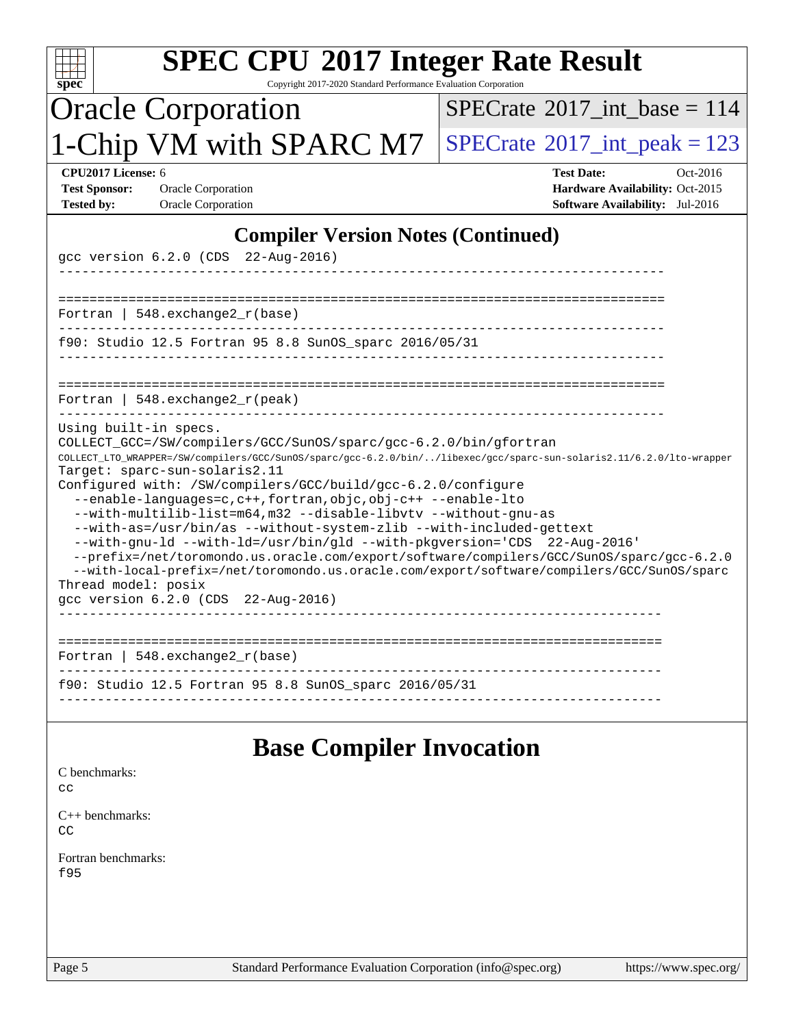| <b>SPEC CPU®2017 Integer Rate Result</b><br>Copyright 2017-2020 Standard Performance Evaluation Corporation<br>$spec^*$                                                                                                                                                                                                                                                                                                                                                                                                                                                                                                                                                                                                                                                                                                                   |                                                                                                     |  |  |  |
|-------------------------------------------------------------------------------------------------------------------------------------------------------------------------------------------------------------------------------------------------------------------------------------------------------------------------------------------------------------------------------------------------------------------------------------------------------------------------------------------------------------------------------------------------------------------------------------------------------------------------------------------------------------------------------------------------------------------------------------------------------------------------------------------------------------------------------------------|-----------------------------------------------------------------------------------------------------|--|--|--|
| <b>Oracle Corporation</b>                                                                                                                                                                                                                                                                                                                                                                                                                                                                                                                                                                                                                                                                                                                                                                                                                 | $SPECrate^{\circledast}2017\_int\_base = 114$                                                       |  |  |  |
| 1-Chip VM with SPARC M7                                                                                                                                                                                                                                                                                                                                                                                                                                                                                                                                                                                                                                                                                                                                                                                                                   | $SPECTate$ <sup>®</sup> 2017_int_peak = 123                                                         |  |  |  |
| CPU2017 License: 6<br><b>Test Sponsor:</b><br><b>Oracle Corporation</b><br><b>Tested by:</b><br><b>Oracle Corporation</b>                                                                                                                                                                                                                                                                                                                                                                                                                                                                                                                                                                                                                                                                                                                 | <b>Test Date:</b><br>Oct-2016<br>Hardware Availability: Oct-2015<br>Software Availability: Jul-2016 |  |  |  |
| <b>Compiler Version Notes (Continued)</b><br>gcc version 6.2.0 (CDS 22-Aug-2016)                                                                                                                                                                                                                                                                                                                                                                                                                                                                                                                                                                                                                                                                                                                                                          |                                                                                                     |  |  |  |
| Fortran   $548$ . exchange $2r$ (base)                                                                                                                                                                                                                                                                                                                                                                                                                                                                                                                                                                                                                                                                                                                                                                                                    |                                                                                                     |  |  |  |
| f90: Studio 12.5 Fortran 95 8.8 SunOS_sparc 2016/05/31                                                                                                                                                                                                                                                                                                                                                                                                                                                                                                                                                                                                                                                                                                                                                                                    |                                                                                                     |  |  |  |
| Fortran   $548$ . exchange $2r$ (peak)                                                                                                                                                                                                                                                                                                                                                                                                                                                                                                                                                                                                                                                                                                                                                                                                    |                                                                                                     |  |  |  |
| COLLECT_GCC=/SW/compilers/GCC/SunOS/sparc/gcc-6.2.0/bin/gfortran<br>COLLECT_LTO_WRAPPER=/SW/compilers/GCC/SunOS/sparc/gcc-6.2.0/bin//libexec/gcc/sparc-sun-solaris2.11/6.2.0/lto-wrapper<br>Target: sparc-sun-solaris2.11<br>Configured with: /SW/compilers/GCC/build/gcc-6.2.0/configure<br>--enable-languages=c, c++, fortran, objc, obj-c++ --enable-lto<br>--with-multilib-list=m64,m32 --disable-libvtv --without-gnu-as<br>--with-as=/usr/bin/as --without-system-zlib --with-included-gettext<br>--with-gnu-ld --with-ld=/usr/bin/gld --with-pkgversion='CDS 22-Aug-2016'<br>--prefix=/net/toromondo.us.oracle.com/export/software/compilers/GCC/SunOS/sparc/gcc-6.2.0<br>--with-local-prefix=/net/toromondo.us.oracle.com/export/software/compilers/GCC/SunOS/sparc<br>Thread model: posix<br>gcc version 6.2.0 (CDS 22-Aug-2016) | ------------------------------------                                                                |  |  |  |
| Fortran   548.exchange2 $r(base)$                                                                                                                                                                                                                                                                                                                                                                                                                                                                                                                                                                                                                                                                                                                                                                                                         |                                                                                                     |  |  |  |
| f90: Studio 12.5 Fortran 95 8.8 SunOS_sparc 2016/05/31                                                                                                                                                                                                                                                                                                                                                                                                                                                                                                                                                                                                                                                                                                                                                                                    |                                                                                                     |  |  |  |
| <b>Base Compiler Invocation</b><br>C benchmarks:<br>$cc$<br>$C_{++}$ benchmarks:<br>CC<br>Fortran benchmarks:<br>£95                                                                                                                                                                                                                                                                                                                                                                                                                                                                                                                                                                                                                                                                                                                      |                                                                                                     |  |  |  |
|                                                                                                                                                                                                                                                                                                                                                                                                                                                                                                                                                                                                                                                                                                                                                                                                                                           |                                                                                                     |  |  |  |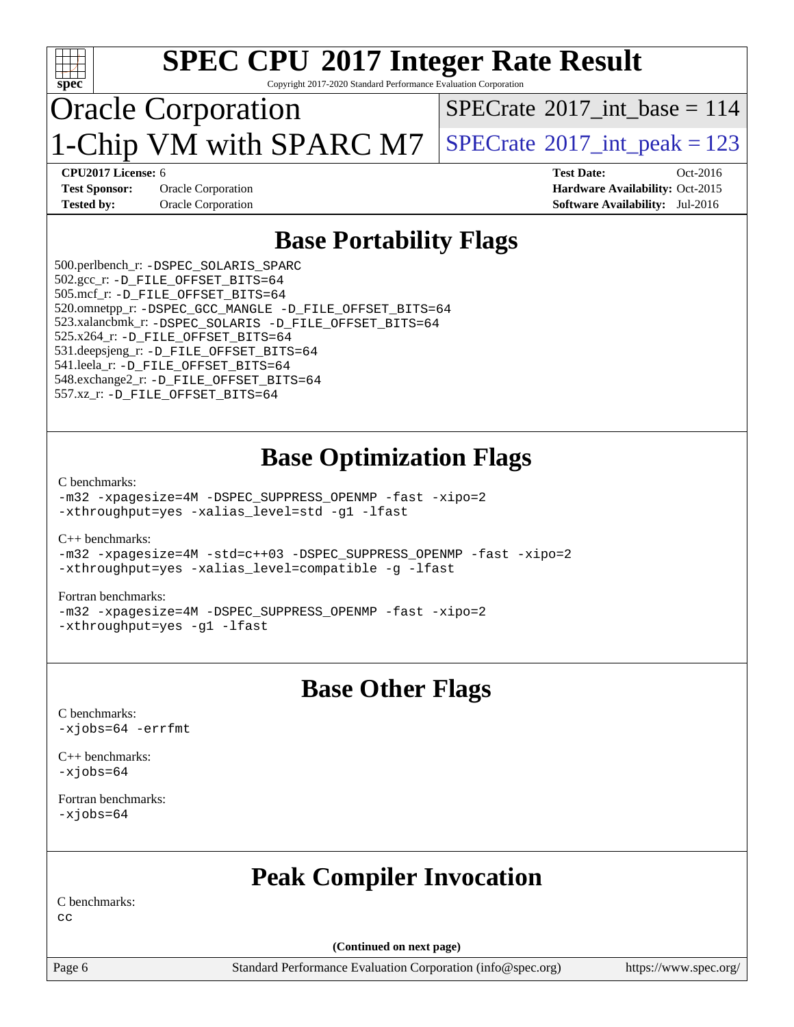

Copyright 2017-2020 Standard Performance Evaluation Corporation

# Oracle Corporation 1-Chip VM with SPARC M7  $|$  [SPECrate](http://www.spec.org/auto/cpu2017/Docs/result-fields.html#SPECrate2017intpeak) [2017\\_int\\_peak = 1](http://www.spec.org/auto/cpu2017/Docs/result-fields.html#SPECrate2017intpeak)23

 $SPECTate$ <sup>®</sup>[2017\\_int\\_base =](http://www.spec.org/auto/cpu2017/Docs/result-fields.html#SPECrate2017intbase) 114

**[Test Sponsor:](http://www.spec.org/auto/cpu2017/Docs/result-fields.html#TestSponsor)** Oracle Corporation **[Hardware Availability:](http://www.spec.org/auto/cpu2017/Docs/result-fields.html#HardwareAvailability)** Oct-2015

**[CPU2017 License:](http://www.spec.org/auto/cpu2017/Docs/result-fields.html#CPU2017License)** 6 **[Test Date:](http://www.spec.org/auto/cpu2017/Docs/result-fields.html#TestDate)** Oct-2016 **[Tested by:](http://www.spec.org/auto/cpu2017/Docs/result-fields.html#Testedby)** Oracle Corporation **[Software Availability:](http://www.spec.org/auto/cpu2017/Docs/result-fields.html#SoftwareAvailability)** Jul-2016

### **[Base Portability Flags](http://www.spec.org/auto/cpu2017/Docs/result-fields.html#BasePortabilityFlags)**

 500.perlbench\_r: [-DSPEC\\_SOLARIS\\_SPARC](http://www.spec.org/cpu2017/results/res2017q2/cpu2017-20161026-00035.flags.html#b500.perlbench_r_basePORTABILITY_DSPEC_SOLARIS_SPARC) 502.gcc\_r: [-D\\_FILE\\_OFFSET\\_BITS=64](http://www.spec.org/cpu2017/results/res2017q2/cpu2017-20161026-00035.flags.html#user_baseEXTRA_PORTABILITY502_gcc_r_F-D_FILE_OFFSET_BITS:64) 505.mcf\_r: [-D\\_FILE\\_OFFSET\\_BITS=64](http://www.spec.org/cpu2017/results/res2017q2/cpu2017-20161026-00035.flags.html#user_baseEXTRA_PORTABILITY505_mcf_r_F-D_FILE_OFFSET_BITS:64) 520.omnetpp\_r: [-DSPEC\\_GCC\\_MANGLE](http://www.spec.org/cpu2017/results/res2017q2/cpu2017-20161026-00035.flags.html#b520.omnetpp_r_basePORTABILITY_DSPEC_GCC_MANGLE) [-D\\_FILE\\_OFFSET\\_BITS=64](http://www.spec.org/cpu2017/results/res2017q2/cpu2017-20161026-00035.flags.html#user_baseEXTRA_PORTABILITY520_omnetpp_r_F-D_FILE_OFFSET_BITS:64) 523.xalancbmk\_r: [-DSPEC\\_SOLARIS](http://www.spec.org/cpu2017/results/res2017q2/cpu2017-20161026-00035.flags.html#b523.xalancbmk_r_basePORTABILITY_DSPEC_SOLARIS) [-D\\_FILE\\_OFFSET\\_BITS=64](http://www.spec.org/cpu2017/results/res2017q2/cpu2017-20161026-00035.flags.html#user_baseEXTRA_PORTABILITY523_xalancbmk_r_F-D_FILE_OFFSET_BITS:64) 525.x264\_r: [-D\\_FILE\\_OFFSET\\_BITS=64](http://www.spec.org/cpu2017/results/res2017q2/cpu2017-20161026-00035.flags.html#user_baseEXTRA_PORTABILITY525_x264_r_F-D_FILE_OFFSET_BITS:64) 531.deepsjeng\_r: [-D\\_FILE\\_OFFSET\\_BITS=64](http://www.spec.org/cpu2017/results/res2017q2/cpu2017-20161026-00035.flags.html#user_baseEXTRA_PORTABILITY531_deepsjeng_r_F-D_FILE_OFFSET_BITS:64) 541.leela r: [-D\\_FILE\\_OFFSET\\_BITS=64](http://www.spec.org/cpu2017/results/res2017q2/cpu2017-20161026-00035.flags.html#user_baseEXTRA_PORTABILITY541_leela_r_F-D_FILE_OFFSET_BITS:64) 548.exchange2\_r: [-D\\_FILE\\_OFFSET\\_BITS=64](http://www.spec.org/cpu2017/results/res2017q2/cpu2017-20161026-00035.flags.html#user_baseEXTRA_PORTABILITY548_exchange2_r_F-D_FILE_OFFSET_BITS:64) 557.xz\_r: [-D\\_FILE\\_OFFSET\\_BITS=64](http://www.spec.org/cpu2017/results/res2017q2/cpu2017-20161026-00035.flags.html#user_baseEXTRA_PORTABILITY557_xz_r_F-D_FILE_OFFSET_BITS:64)

### **[Base Optimization Flags](http://www.spec.org/auto/cpu2017/Docs/result-fields.html#BaseOptimizationFlags)**

[C benchmarks](http://www.spec.org/auto/cpu2017/Docs/result-fields.html#Cbenchmarks):

[-m32](http://www.spec.org/cpu2017/results/res2017q2/cpu2017-20161026-00035.flags.html#user_CCbase_F-m32) [-xpagesize=4M](http://www.spec.org/cpu2017/results/res2017q2/cpu2017-20161026-00035.flags.html#user_CCbase_xpagesize_88977cf513b61a234d62cd5a763d16c21bcbc61487308ae4e8b3693d32be54f884e01fa4478a19c7bb336258f46e095bd0fc8c4b2af02bca05d3464bd89e9b4a) [-DSPEC\\_SUPPRESS\\_OPENMP](http://www.spec.org/cpu2017/results/res2017q2/cpu2017-20161026-00035.flags.html#suite_CCbase_DSPEC_SUPPRESS_OPENMP) [-fast](http://www.spec.org/cpu2017/results/res2017q2/cpu2017-20161026-00035.flags.html#user_CCbase_fast_cc) [-xipo=2](http://www.spec.org/cpu2017/results/res2017q2/cpu2017-20161026-00035.flags.html#user_CCbase_xipo_528d5b218e20bb5d0c89daa4fac0c18c4971399d204163b79c3dac5775bb273d824fbc93a1b2e24f5d1ab3f61c28467f631ce821f4b006d66698dbc3a2b57ff3) [-xthroughput=yes](http://www.spec.org/cpu2017/results/res2017q2/cpu2017-20161026-00035.flags.html#user_CCbase_xthroughput) [-xalias\\_level=std](http://www.spec.org/cpu2017/results/res2017q2/cpu2017-20161026-00035.flags.html#user_CCbase_xalias_level_cc_9a0a86fb5351cc279557ed494e6e940e4d3b21f24a10ac79e1ac0812855df6491322aee7a07664b9b47bff663a1d9274fb9e848793932e1218de025f94a983f1) [-g1](http://www.spec.org/cpu2017/results/res2017q2/cpu2017-20161026-00035.flags.html#user_CCbase_F-g1) [-lfast](http://www.spec.org/cpu2017/results/res2017q2/cpu2017-20161026-00035.flags.html#user_CCbase_F-lfast)

[C++ benchmarks:](http://www.spec.org/auto/cpu2017/Docs/result-fields.html#CXXbenchmarks) [-m32](http://www.spec.org/cpu2017/results/res2017q2/cpu2017-20161026-00035.flags.html#user_CXXbase_F-m32) [-xpagesize=4M](http://www.spec.org/cpu2017/results/res2017q2/cpu2017-20161026-00035.flags.html#user_CXXbase_xpagesize_88977cf513b61a234d62cd5a763d16c21bcbc61487308ae4e8b3693d32be54f884e01fa4478a19c7bb336258f46e095bd0fc8c4b2af02bca05d3464bd89e9b4a) [-std=c++03](http://www.spec.org/cpu2017/results/res2017q2/cpu2017-20161026-00035.flags.html#user_CXXbase_stdcxx_397fb52dea2eed7bb57594b230f4b519d28bc400892d03ef603425d1f64d061ab8db014814cca062112a7c12e7d1eea2fd08d40d838fd3f28e1d0edd07cce3c1) [-DSPEC\\_SUPPRESS\\_OPENMP](http://www.spec.org/cpu2017/results/res2017q2/cpu2017-20161026-00035.flags.html#suite_CXXbase_DSPEC_SUPPRESS_OPENMP) [-fast](http://www.spec.org/cpu2017/results/res2017q2/cpu2017-20161026-00035.flags.html#user_CXXbase_fast_CC) [-xipo=2](http://www.spec.org/cpu2017/results/res2017q2/cpu2017-20161026-00035.flags.html#user_CXXbase_xipo_528d5b218e20bb5d0c89daa4fac0c18c4971399d204163b79c3dac5775bb273d824fbc93a1b2e24f5d1ab3f61c28467f631ce821f4b006d66698dbc3a2b57ff3) [-xthroughput=yes](http://www.spec.org/cpu2017/results/res2017q2/cpu2017-20161026-00035.flags.html#user_CXXbase_xthroughput) [-xalias\\_level=compatible](http://www.spec.org/cpu2017/results/res2017q2/cpu2017-20161026-00035.flags.html#user_CXXbase_xalias_level_CC_29d650045219f0f46bed0feda1d1a1731777215d692056e3f341e0c7bd96e0f3c34c1acc5cfa383a6fdc15f4074107c621eb7b329257fb6f6792e3a3e7fe49fc) [-g](http://www.spec.org/cpu2017/results/res2017q2/cpu2017-20161026-00035.flags.html#user_CXXbase_F-g) [-lfast](http://www.spec.org/cpu2017/results/res2017q2/cpu2017-20161026-00035.flags.html#user_CXXbase_F-lfast)

### [Fortran benchmarks](http://www.spec.org/auto/cpu2017/Docs/result-fields.html#Fortranbenchmarks):

[-m32](http://www.spec.org/cpu2017/results/res2017q2/cpu2017-20161026-00035.flags.html#user_FCbase_F-m32) [-xpagesize=4M](http://www.spec.org/cpu2017/results/res2017q2/cpu2017-20161026-00035.flags.html#user_FCbase_xpagesize_88977cf513b61a234d62cd5a763d16c21bcbc61487308ae4e8b3693d32be54f884e01fa4478a19c7bb336258f46e095bd0fc8c4b2af02bca05d3464bd89e9b4a) [-DSPEC\\_SUPPRESS\\_OPENMP](http://www.spec.org/cpu2017/results/res2017q2/cpu2017-20161026-00035.flags.html#suite_FCbase_DSPEC_SUPPRESS_OPENMP) [-fast](http://www.spec.org/cpu2017/results/res2017q2/cpu2017-20161026-00035.flags.html#user_FCbase_fast_f90) [-xipo=2](http://www.spec.org/cpu2017/results/res2017q2/cpu2017-20161026-00035.flags.html#user_FCbase_xipo_528d5b218e20bb5d0c89daa4fac0c18c4971399d204163b79c3dac5775bb273d824fbc93a1b2e24f5d1ab3f61c28467f631ce821f4b006d66698dbc3a2b57ff3) [-xthroughput=yes](http://www.spec.org/cpu2017/results/res2017q2/cpu2017-20161026-00035.flags.html#user_FCbase_xthroughput) [-g1](http://www.spec.org/cpu2017/results/res2017q2/cpu2017-20161026-00035.flags.html#user_FCbase_F-g1) [-lfast](http://www.spec.org/cpu2017/results/res2017q2/cpu2017-20161026-00035.flags.html#user_FCbase_F-lfast)

### **[Base Other Flags](http://www.spec.org/auto/cpu2017/Docs/result-fields.html#BaseOtherFlags)**

[C benchmarks](http://www.spec.org/auto/cpu2017/Docs/result-fields.html#Cbenchmarks): [-xjobs=64](http://www.spec.org/cpu2017/results/res2017q2/cpu2017-20161026-00035.flags.html#user_CCbase_xjobs_6ad9cd9f09487f720e4d4a9fa631d67d103a7f8f70e5780ada93efe3a6364ae2dc32b080c0148210ac4a71f76f2edeae7e1ecc3eb56cef8335df8b421a8e0469) [-errfmt](http://www.spec.org/cpu2017/results/res2017q2/cpu2017-20161026-00035.flags.html#user_CCbase_F-errfmt)

[C++ benchmarks:](http://www.spec.org/auto/cpu2017/Docs/result-fields.html#CXXbenchmarks)  $-x$ jobs=64

[Fortran benchmarks](http://www.spec.org/auto/cpu2017/Docs/result-fields.html#Fortranbenchmarks): [-xjobs=64](http://www.spec.org/cpu2017/results/res2017q2/cpu2017-20161026-00035.flags.html#user_FCbase_xjobs_6ad9cd9f09487f720e4d4a9fa631d67d103a7f8f70e5780ada93efe3a6364ae2dc32b080c0148210ac4a71f76f2edeae7e1ecc3eb56cef8335df8b421a8e0469)

### **[Peak Compiler Invocation](http://www.spec.org/auto/cpu2017/Docs/result-fields.html#PeakCompilerInvocation)**

[C benchmarks:](http://www.spec.org/auto/cpu2017/Docs/result-fields.html#Cbenchmarks)

 $C<sub>c</sub>$ 

**(Continued on next page)**

Page 6 Standard Performance Evaluation Corporation [\(info@spec.org\)](mailto:info@spec.org) <https://www.spec.org/>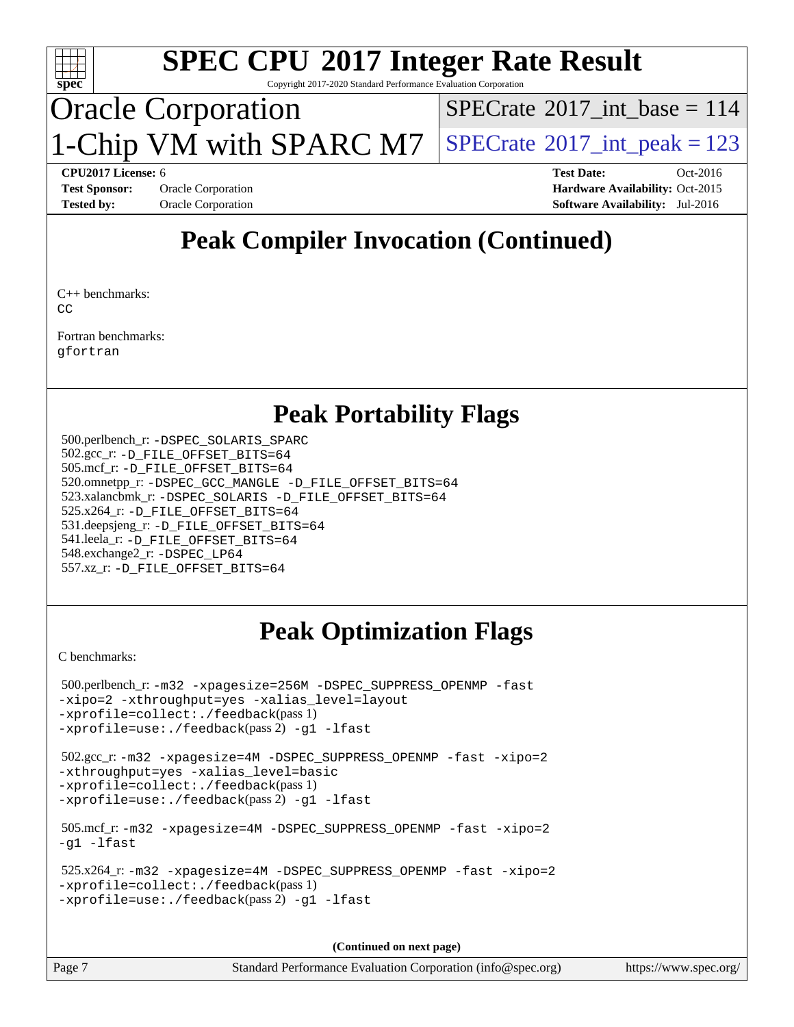

Copyright 2017-2020 Standard Performance Evaluation Corporation

# Oracle Corporation 1-Chip VM with SPARC M7  $|$  [SPECrate](http://www.spec.org/auto/cpu2017/Docs/result-fields.html#SPECrate2017intpeak) [2017\\_int\\_peak = 1](http://www.spec.org/auto/cpu2017/Docs/result-fields.html#SPECrate2017intpeak)23

 $SPECTate$ <sup>®</sup>[2017\\_int\\_base =](http://www.spec.org/auto/cpu2017/Docs/result-fields.html#SPECrate2017intbase) 114

**[Test Sponsor:](http://www.spec.org/auto/cpu2017/Docs/result-fields.html#TestSponsor)** Oracle Corporation **[Hardware Availability:](http://www.spec.org/auto/cpu2017/Docs/result-fields.html#HardwareAvailability)** Oct-2015 **[Tested by:](http://www.spec.org/auto/cpu2017/Docs/result-fields.html#Testedby)** Oracle Corporation **[Software Availability:](http://www.spec.org/auto/cpu2017/Docs/result-fields.html#SoftwareAvailability)** Jul-2016

**[CPU2017 License:](http://www.spec.org/auto/cpu2017/Docs/result-fields.html#CPU2017License)** 6 **[Test Date:](http://www.spec.org/auto/cpu2017/Docs/result-fields.html#TestDate)** Oct-2016

## **[Peak Compiler Invocation \(Continued\)](http://www.spec.org/auto/cpu2017/Docs/result-fields.html#PeakCompilerInvocation)**

[C++ benchmarks:](http://www.spec.org/auto/cpu2017/Docs/result-fields.html#CXXbenchmarks) **[CC](http://www.spec.org/cpu2017/results/res2017q2/cpu2017-20161026-00035.flags.html#user_CXXpeak_oracle_studio_CC)** 

[Fortran benchmarks](http://www.spec.org/auto/cpu2017/Docs/result-fields.html#Fortranbenchmarks): [gfortran](http://www.spec.org/cpu2017/results/res2017q2/cpu2017-20161026-00035.flags.html#user_FCpeak_gfortran)

### **[Peak Portability Flags](http://www.spec.org/auto/cpu2017/Docs/result-fields.html#PeakPortabilityFlags)**

 500.perlbench\_r: [-DSPEC\\_SOLARIS\\_SPARC](http://www.spec.org/cpu2017/results/res2017q2/cpu2017-20161026-00035.flags.html#b500.perlbench_r_peakPORTABILITY_DSPEC_SOLARIS_SPARC) 502.gcc\_r: [-D\\_FILE\\_OFFSET\\_BITS=64](http://www.spec.org/cpu2017/results/res2017q2/cpu2017-20161026-00035.flags.html#user_peakEXTRA_PORTABILITY502_gcc_r_F-D_FILE_OFFSET_BITS:64) 505.mcf\_r: [-D\\_FILE\\_OFFSET\\_BITS=64](http://www.spec.org/cpu2017/results/res2017q2/cpu2017-20161026-00035.flags.html#user_peakEXTRA_PORTABILITY505_mcf_r_F-D_FILE_OFFSET_BITS:64) 520.omnetpp\_r: [-DSPEC\\_GCC\\_MANGLE](http://www.spec.org/cpu2017/results/res2017q2/cpu2017-20161026-00035.flags.html#b520.omnetpp_r_peakPORTABILITY_DSPEC_GCC_MANGLE) [-D\\_FILE\\_OFFSET\\_BITS=64](http://www.spec.org/cpu2017/results/res2017q2/cpu2017-20161026-00035.flags.html#user_peakEXTRA_PORTABILITY520_omnetpp_r_F-D_FILE_OFFSET_BITS:64) 523.xalancbmk\_r: [-DSPEC\\_SOLARIS](http://www.spec.org/cpu2017/results/res2017q2/cpu2017-20161026-00035.flags.html#b523.xalancbmk_r_peakPORTABILITY_DSPEC_SOLARIS) [-D\\_FILE\\_OFFSET\\_BITS=64](http://www.spec.org/cpu2017/results/res2017q2/cpu2017-20161026-00035.flags.html#user_peakEXTRA_PORTABILITY523_xalancbmk_r_F-D_FILE_OFFSET_BITS:64) 525.x264\_r: [-D\\_FILE\\_OFFSET\\_BITS=64](http://www.spec.org/cpu2017/results/res2017q2/cpu2017-20161026-00035.flags.html#user_peakEXTRA_PORTABILITY525_x264_r_F-D_FILE_OFFSET_BITS:64) 531.deepsjeng\_r: [-D\\_FILE\\_OFFSET\\_BITS=64](http://www.spec.org/cpu2017/results/res2017q2/cpu2017-20161026-00035.flags.html#user_peakEXTRA_PORTABILITY531_deepsjeng_r_F-D_FILE_OFFSET_BITS:64) 541.leela\_r: [-D\\_FILE\\_OFFSET\\_BITS=64](http://www.spec.org/cpu2017/results/res2017q2/cpu2017-20161026-00035.flags.html#user_peakEXTRA_PORTABILITY541_leela_r_F-D_FILE_OFFSET_BITS:64) 548.exchange2\_r: [-DSPEC\\_LP64](http://www.spec.org/cpu2017/results/res2017q2/cpu2017-20161026-00035.flags.html#suite_peakEXTRA_PORTABILITY548_exchange2_r_DSPEC_LP64) 557.xz\_r: [-D\\_FILE\\_OFFSET\\_BITS=64](http://www.spec.org/cpu2017/results/res2017q2/cpu2017-20161026-00035.flags.html#user_peakEXTRA_PORTABILITY557_xz_r_F-D_FILE_OFFSET_BITS:64)

## **[Peak Optimization Flags](http://www.spec.org/auto/cpu2017/Docs/result-fields.html#PeakOptimizationFlags)**

[C benchmarks](http://www.spec.org/auto/cpu2017/Docs/result-fields.html#Cbenchmarks):

```
 500.perlbench_r: -m32 -xpagesize=256M -DSPEC_SUPPRESS_OPENMP -fast
-xipo=2 -xthroughput=yes -xalias_level=layout
-xprofile=collect:./feedback(pass 1)
-xprofile=use:./feedback(pass 2) -g1 -lfast
 502.gcc_r: -m32 -xpagesize=4M -DSPEC_SUPPRESS_OPENMP -fast -xipo=2
-xthroughput=yes -xalias_level=basic
-xprofile=collect:./feedback(pass 1)
-xprofile=use:./feedback(pass 2) -g1 -lfast
 505.mcf_r: -m32 -xpagesize=4M -DSPEC_SUPPRESS_OPENMP -fast -xipo=2
-g1 -lfast
 525.x264_r: -m32 -xpagesize=4M -DSPEC_SUPPRESS_OPENMP -fast -xipo=2
-xprofile=collect:./feedback(pass 1)
-xprofile=use:./feedback(pass 2) -g1 -lfast
```
**(Continued on next page)**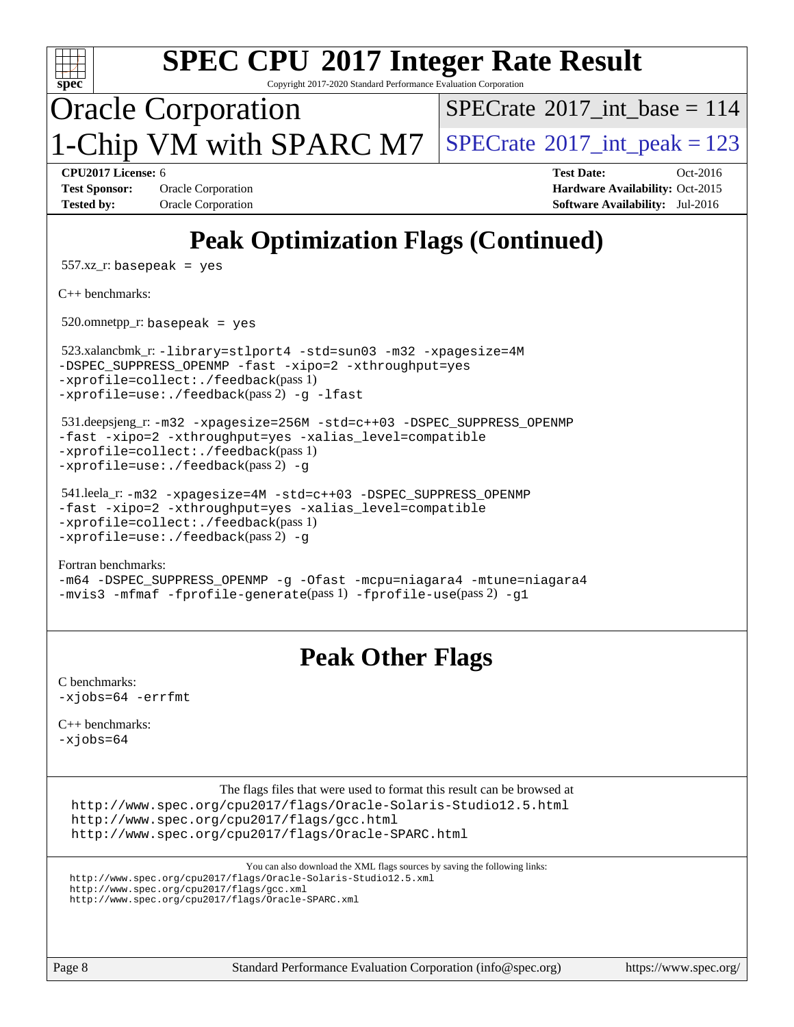

Copyright 2017-2020 Standard Performance Evaluation Corporation

Oracle Corporation 1-Chip VM with SPARC M7  $|$  [SPECrate](http://www.spec.org/auto/cpu2017/Docs/result-fields.html#SPECrate2017intpeak) [2017\\_int\\_peak = 1](http://www.spec.org/auto/cpu2017/Docs/result-fields.html#SPECrate2017intpeak)23

 $SPECTate$ <sup>®</sup>[2017\\_int\\_base =](http://www.spec.org/auto/cpu2017/Docs/result-fields.html#SPECrate2017intbase) 114

**[Test Sponsor:](http://www.spec.org/auto/cpu2017/Docs/result-fields.html#TestSponsor)** Oracle Corporation **[Hardware Availability:](http://www.spec.org/auto/cpu2017/Docs/result-fields.html#HardwareAvailability)** Oct-2015 **[Tested by:](http://www.spec.org/auto/cpu2017/Docs/result-fields.html#Testedby)** Oracle Corporation **[Software Availability:](http://www.spec.org/auto/cpu2017/Docs/result-fields.html#SoftwareAvailability)** Jul-2016

**[CPU2017 License:](http://www.spec.org/auto/cpu2017/Docs/result-fields.html#CPU2017License)** 6 **[Test Date:](http://www.spec.org/auto/cpu2017/Docs/result-fields.html#TestDate)** Oct-2016

## **[Peak Optimization Flags \(Continued\)](http://www.spec.org/auto/cpu2017/Docs/result-fields.html#PeakOptimizationFlags)**

557.xz\_r: basepeak = yes

[C++ benchmarks:](http://www.spec.org/auto/cpu2017/Docs/result-fields.html#CXXbenchmarks)

 $520.$ omnetpp\_r: basepeak = yes

 523.xalancbmk\_r: [-library=stlport4](http://www.spec.org/cpu2017/results/res2017q2/cpu2017-20161026-00035.flags.html#user_peakCXXLD523_xalancbmk_r_F-lstlport4_c12793480b01f621b9045fce34bbc06dfa1dd2fa44a73f9ec45481a72c9015b207bb156decfd00231b3756835dd8bfb78b8a0889bbe1273bf0eeb5763e9f1504) [-std=sun03](http://www.spec.org/cpu2017/results/res2017q2/cpu2017-20161026-00035.flags.html#user_peakCXXLD523_xalancbmk_r_stdcxx_dfd045b601b89b6e1c812e2935d9e3f284779c584ff5c4cb5cba7c8e3aa181213c8651dc47e02b88bf8cd72e6368d18d8075358f12c51aac3a678e4f400ed6e7) [-m32](http://www.spec.org/cpu2017/results/res2017q2/cpu2017-20161026-00035.flags.html#user_peakCXXLD523_xalancbmk_r_F-m32) [-xpagesize=4M](http://www.spec.org/cpu2017/results/res2017q2/cpu2017-20161026-00035.flags.html#user_peakCXXLD523_xalancbmk_r_xpagesize_88977cf513b61a234d62cd5a763d16c21bcbc61487308ae4e8b3693d32be54f884e01fa4478a19c7bb336258f46e095bd0fc8c4b2af02bca05d3464bd89e9b4a) [-DSPEC\\_SUPPRESS\\_OPENMP](http://www.spec.org/cpu2017/results/res2017q2/cpu2017-20161026-00035.flags.html#suite_peakBENCH_CXXFLAGS523_xalancbmk_r_DSPEC_SUPPRESS_OPENMP) [-fast](http://www.spec.org/cpu2017/results/res2017q2/cpu2017-20161026-00035.flags.html#user_peakOPTIMIZE523_xalancbmk_r_fast_CC) [-xipo=2](http://www.spec.org/cpu2017/results/res2017q2/cpu2017-20161026-00035.flags.html#user_peakOPTIMIZE523_xalancbmk_r_xipo_528d5b218e20bb5d0c89daa4fac0c18c4971399d204163b79c3dac5775bb273d824fbc93a1b2e24f5d1ab3f61c28467f631ce821f4b006d66698dbc3a2b57ff3) [-xthroughput=yes](http://www.spec.org/cpu2017/results/res2017q2/cpu2017-20161026-00035.flags.html#user_peakOPTIMIZE523_xalancbmk_r_xthroughput) [-xprofile=collect:./feedback](http://www.spec.org/cpu2017/results/res2017q2/cpu2017-20161026-00035.flags.html#user_peakPASS1_OPTIMIZE523_xalancbmk_r_xprofile_collect_2a954b54049e7bebf8223ccc2a1b148422dc9c36bb1d7df4b26d248d70f940088d1b057775077a5e5010e9849e397a70aa30a9064ec9b2818d80b2634dfd4c0f)(pass 1) [-xprofile=use:./feedback](http://www.spec.org/cpu2017/results/res2017q2/cpu2017-20161026-00035.flags.html#user_peakPASS2_OPTIMIZE523_xalancbmk_r_xprofile_use_1a64d15e6f73f5bad47f5804f6a52a33a3c5e26102f462c4662d9e7f7526ec9e963a063ca5ae90e573cbf0703997371e508a62f3aaecaf8b298291fa4a553b8a)(pass 2) [-g](http://www.spec.org/cpu2017/results/res2017q2/cpu2017-20161026-00035.flags.html#user_peakEXTRA_CXXFLAGS523_xalancbmk_r_F-g) [-lfast](http://www.spec.org/cpu2017/results/res2017q2/cpu2017-20161026-00035.flags.html#user_peakEXTRA_LIBS523_xalancbmk_r_F-lfast)

 531.deepsjeng\_r: [-m32](http://www.spec.org/cpu2017/results/res2017q2/cpu2017-20161026-00035.flags.html#user_peakCXXLD531_deepsjeng_r_F-m32) [-xpagesize=256M](http://www.spec.org/cpu2017/results/res2017q2/cpu2017-20161026-00035.flags.html#user_peakCXXLD531_deepsjeng_r_xpagesize_c2e9db2530bd37055699db9fe8f3b0866972e96c0ef120d1a6f53d1da706056b494c63422ce999fce66358d953bfac0909168246420777012c878fb49608d336) [-std=c++03](http://www.spec.org/cpu2017/results/res2017q2/cpu2017-20161026-00035.flags.html#user_peakCXXLD531_deepsjeng_r_stdcxx_397fb52dea2eed7bb57594b230f4b519d28bc400892d03ef603425d1f64d061ab8db014814cca062112a7c12e7d1eea2fd08d40d838fd3f28e1d0edd07cce3c1) [-DSPEC\\_SUPPRESS\\_OPENMP](http://www.spec.org/cpu2017/results/res2017q2/cpu2017-20161026-00035.flags.html#suite_peakBENCH_FLAGS531_deepsjeng_r_DSPEC_SUPPRESS_OPENMP) [-fast](http://www.spec.org/cpu2017/results/res2017q2/cpu2017-20161026-00035.flags.html#user_peakOPTIMIZE531_deepsjeng_r_fast_CC) [-xipo=2](http://www.spec.org/cpu2017/results/res2017q2/cpu2017-20161026-00035.flags.html#user_peakOPTIMIZE531_deepsjeng_r_xipo_528d5b218e20bb5d0c89daa4fac0c18c4971399d204163b79c3dac5775bb273d824fbc93a1b2e24f5d1ab3f61c28467f631ce821f4b006d66698dbc3a2b57ff3) [-xthroughput=yes](http://www.spec.org/cpu2017/results/res2017q2/cpu2017-20161026-00035.flags.html#user_peakOPTIMIZE531_deepsjeng_r_xthroughput) [-xalias\\_level=compatible](http://www.spec.org/cpu2017/results/res2017q2/cpu2017-20161026-00035.flags.html#user_peakCXXOPTIMIZE531_deepsjeng_r_xalias_level_CC_29d650045219f0f46bed0feda1d1a1731777215d692056e3f341e0c7bd96e0f3c34c1acc5cfa383a6fdc15f4074107c621eb7b329257fb6f6792e3a3e7fe49fc) [-xprofile=collect:./feedback](http://www.spec.org/cpu2017/results/res2017q2/cpu2017-20161026-00035.flags.html#user_peakPASS1_OPTIMIZE531_deepsjeng_r_xprofile_collect_2a954b54049e7bebf8223ccc2a1b148422dc9c36bb1d7df4b26d248d70f940088d1b057775077a5e5010e9849e397a70aa30a9064ec9b2818d80b2634dfd4c0f)(pass 1) [-xprofile=use:./feedback](http://www.spec.org/cpu2017/results/res2017q2/cpu2017-20161026-00035.flags.html#user_peakPASS2_OPTIMIZE531_deepsjeng_r_xprofile_use_1a64d15e6f73f5bad47f5804f6a52a33a3c5e26102f462c4662d9e7f7526ec9e963a063ca5ae90e573cbf0703997371e508a62f3aaecaf8b298291fa4a553b8a)(pass 2) [-g](http://www.spec.org/cpu2017/results/res2017q2/cpu2017-20161026-00035.flags.html#user_peakEXTRA_CXXFLAGS531_deepsjeng_r_F-g)

 541.leela\_r: [-m32](http://www.spec.org/cpu2017/results/res2017q2/cpu2017-20161026-00035.flags.html#user_peakCXXLD541_leela_r_F-m32) [-xpagesize=4M](http://www.spec.org/cpu2017/results/res2017q2/cpu2017-20161026-00035.flags.html#user_peakCXXLD541_leela_r_xpagesize_88977cf513b61a234d62cd5a763d16c21bcbc61487308ae4e8b3693d32be54f884e01fa4478a19c7bb336258f46e095bd0fc8c4b2af02bca05d3464bd89e9b4a) [-std=c++03](http://www.spec.org/cpu2017/results/res2017q2/cpu2017-20161026-00035.flags.html#user_peakCXXLD541_leela_r_stdcxx_397fb52dea2eed7bb57594b230f4b519d28bc400892d03ef603425d1f64d061ab8db014814cca062112a7c12e7d1eea2fd08d40d838fd3f28e1d0edd07cce3c1) [-DSPEC\\_SUPPRESS\\_OPENMP](http://www.spec.org/cpu2017/results/res2017q2/cpu2017-20161026-00035.flags.html#suite_peakBENCH_FLAGS541_leela_r_DSPEC_SUPPRESS_OPENMP) [-fast](http://www.spec.org/cpu2017/results/res2017q2/cpu2017-20161026-00035.flags.html#user_peakOPTIMIZE541_leela_r_fast_CC) [-xipo=2](http://www.spec.org/cpu2017/results/res2017q2/cpu2017-20161026-00035.flags.html#user_peakOPTIMIZE541_leela_r_xipo_528d5b218e20bb5d0c89daa4fac0c18c4971399d204163b79c3dac5775bb273d824fbc93a1b2e24f5d1ab3f61c28467f631ce821f4b006d66698dbc3a2b57ff3) [-xthroughput=yes](http://www.spec.org/cpu2017/results/res2017q2/cpu2017-20161026-00035.flags.html#user_peakOPTIMIZE541_leela_r_xthroughput) [-xalias\\_level=compatible](http://www.spec.org/cpu2017/results/res2017q2/cpu2017-20161026-00035.flags.html#user_peakCXXOPTIMIZE541_leela_r_xalias_level_CC_29d650045219f0f46bed0feda1d1a1731777215d692056e3f341e0c7bd96e0f3c34c1acc5cfa383a6fdc15f4074107c621eb7b329257fb6f6792e3a3e7fe49fc) [-xprofile=collect:./feedback](http://www.spec.org/cpu2017/results/res2017q2/cpu2017-20161026-00035.flags.html#user_peakPASS1_OPTIMIZE541_leela_r_xprofile_collect_2a954b54049e7bebf8223ccc2a1b148422dc9c36bb1d7df4b26d248d70f940088d1b057775077a5e5010e9849e397a70aa30a9064ec9b2818d80b2634dfd4c0f)(pass 1) [-xprofile=use:./feedback](http://www.spec.org/cpu2017/results/res2017q2/cpu2017-20161026-00035.flags.html#user_peakPASS2_OPTIMIZE541_leela_r_xprofile_use_1a64d15e6f73f5bad47f5804f6a52a33a3c5e26102f462c4662d9e7f7526ec9e963a063ca5ae90e573cbf0703997371e508a62f3aaecaf8b298291fa4a553b8a)(pass 2) [-g](http://www.spec.org/cpu2017/results/res2017q2/cpu2017-20161026-00035.flags.html#user_peakEXTRA_CXXFLAGS541_leela_r_F-g)

[Fortran benchmarks](http://www.spec.org/auto/cpu2017/Docs/result-fields.html#Fortranbenchmarks): [-m64](http://www.spec.org/cpu2017/results/res2017q2/cpu2017-20161026-00035.flags.html#user_FCpeak_F-m64) [-DSPEC\\_SUPPRESS\\_OPENMP](http://www.spec.org/cpu2017/results/res2017q2/cpu2017-20161026-00035.flags.html#suite_FCpeak_DSPEC_SUPPRESS_OPENMP) [-g](http://www.spec.org/cpu2017/results/res2017q2/cpu2017-20161026-00035.flags.html#user_FCpeak_g-gcc) [-Ofast](http://www.spec.org/cpu2017/results/res2017q2/cpu2017-20161026-00035.flags.html#user_FCpeak_F-Ofast) [-mcpu=niagara4](http://www.spec.org/cpu2017/results/res2017q2/cpu2017-20161026-00035.flags.html#user_FCpeak_mcpu_a07a994fd142b65a653dbf705bfd7f22ece5d02e1be751e7096b99d71ef972759b1a6a5fdbe636a83fe9687af787b0ac4b50793a09f84c33863f58c32203e0a9) [-mtune=niagara4](http://www.spec.org/cpu2017/results/res2017q2/cpu2017-20161026-00035.flags.html#user_FCpeak_mtune_7c51b57003a10e09e9ac3fca1b69b312b6d67f917455339fcc2af9066a967c1238aeb0b6202a99fc58a2c4ca519cf6856bf9f9933704be485efd7960689e6657) [-mvis3](http://www.spec.org/cpu2017/results/res2017q2/cpu2017-20161026-00035.flags.html#user_FCpeak_F-mvis3) [-mfmaf](http://www.spec.org/cpu2017/results/res2017q2/cpu2017-20161026-00035.flags.html#user_FCpeak_F-mfmaf) [-fprofile-generate](http://www.spec.org/cpu2017/results/res2017q2/cpu2017-20161026-00035.flags.html#user_FCpeak_F-fprofile-generate)(pass 1) [-fprofile-use](http://www.spec.org/cpu2017/results/res2017q2/cpu2017-20161026-00035.flags.html#user_FCpeak_F-fprofile-use)(pass 2) [-g1](http://www.spec.org/cpu2017/results/res2017q2/cpu2017-20161026-00035.flags.html#user_FCpeak_g-gcc_4b5a4d132e946ef28322c377f6824281fee70b1ad242f9f462ef3774fb3abdcb2536b2f4d728b24a4083568ce8b9d1621ef8d929246ec40a9112d4cad588c9a6)

### **[Peak Other Flags](http://www.spec.org/auto/cpu2017/Docs/result-fields.html#PeakOtherFlags)**

[C benchmarks](http://www.spec.org/auto/cpu2017/Docs/result-fields.html#Cbenchmarks): [-xjobs=64](http://www.spec.org/cpu2017/results/res2017q2/cpu2017-20161026-00035.flags.html#user_CCpeak_xjobs_6ad9cd9f09487f720e4d4a9fa631d67d103a7f8f70e5780ada93efe3a6364ae2dc32b080c0148210ac4a71f76f2edeae7e1ecc3eb56cef8335df8b421a8e0469) [-errfmt](http://www.spec.org/cpu2017/results/res2017q2/cpu2017-20161026-00035.flags.html#user_CCpeak_F-errfmt)

[C++ benchmarks:](http://www.spec.org/auto/cpu2017/Docs/result-fields.html#CXXbenchmarks) [-xjobs=64](http://www.spec.org/cpu2017/results/res2017q2/cpu2017-20161026-00035.flags.html#user_CXXpeak_xjobs_6ad9cd9f09487f720e4d4a9fa631d67d103a7f8f70e5780ada93efe3a6364ae2dc32b080c0148210ac4a71f76f2edeae7e1ecc3eb56cef8335df8b421a8e0469)

> [The flags files that were used to format this result can be browsed at](tmsearch) <http://www.spec.org/cpu2017/flags/Oracle-Solaris-Studio12.5.html> <http://www.spec.org/cpu2017/flags/gcc.html> <http://www.spec.org/cpu2017/flags/Oracle-SPARC.html>

[You can also download the XML flags sources by saving the following links:](tmsearch) <http://www.spec.org/cpu2017/flags/Oracle-Solaris-Studio12.5.xml> <http://www.spec.org/cpu2017/flags/gcc.xml> <http://www.spec.org/cpu2017/flags/Oracle-SPARC.xml>

Page 8 Standard Performance Evaluation Corporation [\(info@spec.org\)](mailto:info@spec.org) <https://www.spec.org/>